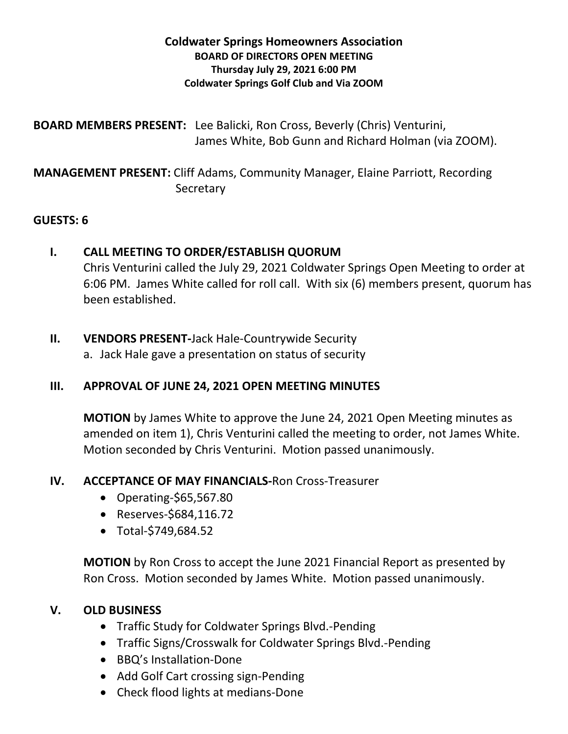### **Coldwater Springs Homeowners Association BOARD OF DIRECTORS OPEN MEETING Thursday July 29, 2021 6:00 PM Coldwater Springs Golf Club and Via ZOOM**

**BOARD MEMBERS PRESENT:** Lee Balicki, Ron Cross, Beverly (Chris) Venturini, James White, Bob Gunn and Richard Holman (via ZOOM).

# **MANAGEMENT PRESENT:** Cliff Adams, Community Manager, Elaine Parriott, Recording **Secretary**

### **GUESTS: 6**

## **I. CALL MEETING TO ORDER/ESTABLISH QUORUM**

Chris Venturini called the July 29, 2021 Coldwater Springs Open Meeting to order at 6:06 PM. James White called for roll call. With six (6) members present, quorum has been established.

### **II. VENDORS PRESENT-**Jack Hale-Countrywide Security

a. Jack Hale gave a presentation on status of security

## **III. APPROVAL OF JUNE 24, 2021 OPEN MEETING MINUTES**

**MOTION** by James White to approve the June 24, 2021 Open Meeting minutes as amended on item 1), Chris Venturini called the meeting to order, not James White. Motion seconded by Chris Venturini. Motion passed unanimously.

## **IV. ACCEPTANCE OF MAY FINANCIALS-**Ron Cross-Treasurer

- Operating*-*\$65,567.80
- Reserves-\$684,116.72
- Total-\$749,684.52

**MOTION** by Ron Cross to accept the June 2021 Financial Report as presented by Ron Cross. Motion seconded by James White. Motion passed unanimously.

## **V. OLD BUSINESS**

- Traffic Study for Coldwater Springs Blvd.-Pending
- Traffic Signs/Crosswalk for Coldwater Springs Blvd.-Pending
- BBQ's Installation-Done
- Add Golf Cart crossing sign-Pending
- Check flood lights at medians-Done